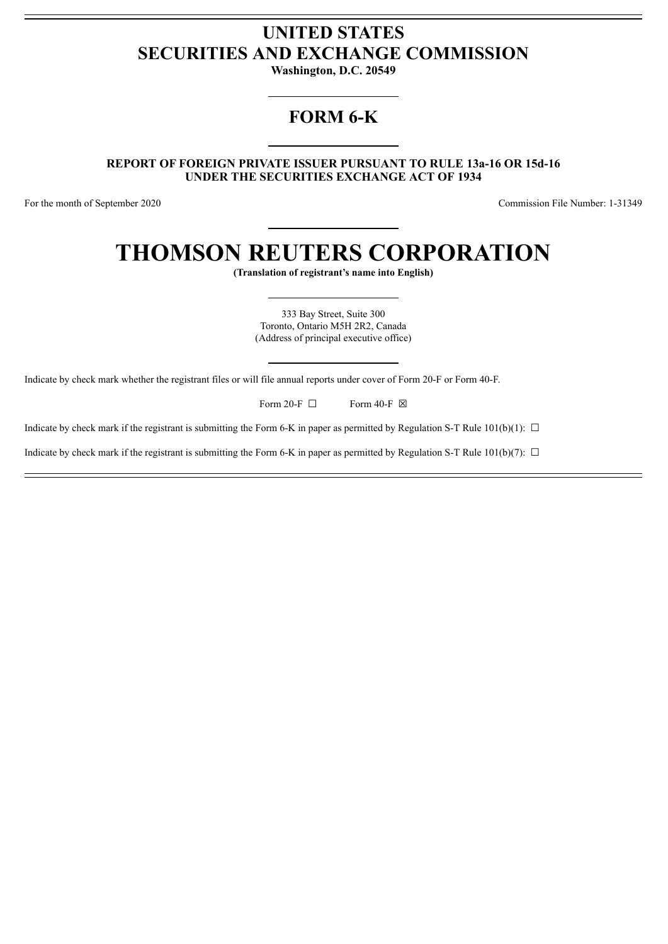## **UNITED STATES SECURITIES AND EXCHANGE COMMISSION**

**Washington, D.C. 20549**

## **FORM 6-K**

**REPORT OF FOREIGN PRIVATE ISSUER PURSUANT TO RULE 13a-16 OR 15d-16 UNDER THE SECURITIES EXCHANGE ACT OF 1934**

For the month of September 2020 Commission File Number: 1-31349

# **THOMSON REUTERS CORPORATION**

**(Translation of registrant's name into English)**

333 Bay Street, Suite 300 Toronto, Ontario M5H 2R2, Canada (Address of principal executive office)

Indicate by check mark whether the registrant files or will file annual reports under cover of Form 20-F or Form 40-F.

Form 20-F  $\Box$  Form 40-F  $\boxtimes$ 

Indicate by check mark if the registrant is submitting the Form 6-K in paper as permitted by Regulation S-T Rule 101(b)(1):  $\Box$ 

Indicate by check mark if the registrant is submitting the Form 6-K in paper as permitted by Regulation S-T Rule 101(b)(7):  $\Box$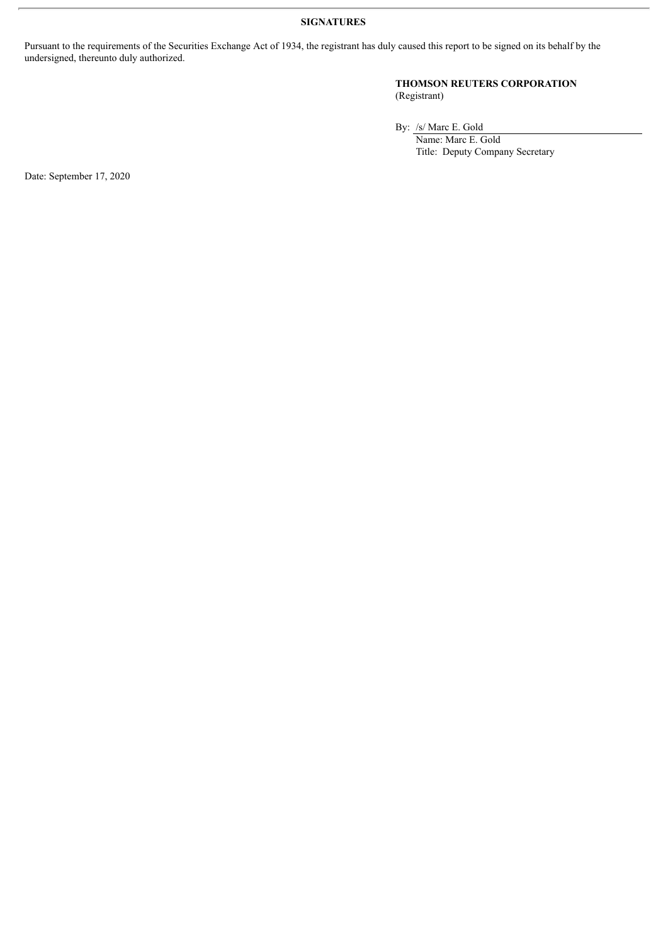**SIGNATURES**

Pursuant to the requirements of the Securities Exchange Act of 1934, the registrant has duly caused this report to be signed on its behalf by the undersigned, thereunto duly authorized.

#### **THOMSON REUTERS CORPORATION** (Registrant)

By: /s/ Marc E. Gold

Name: Marc E. Gold Title: Deputy Company Secretary

Date: September 17, 2020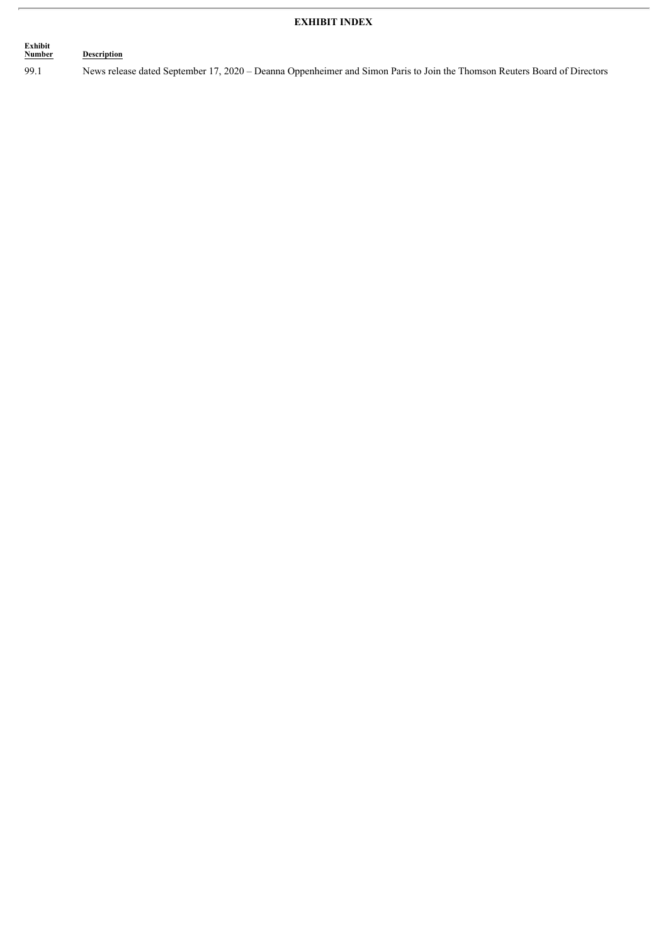#### **EXHIBIT INDEX**

#### **Exhibit Description**

99.1 News release dated September 17, 2020 – Deanna Oppenheimer and Simon Paris to Join the Thomson Reuters Board of Directors